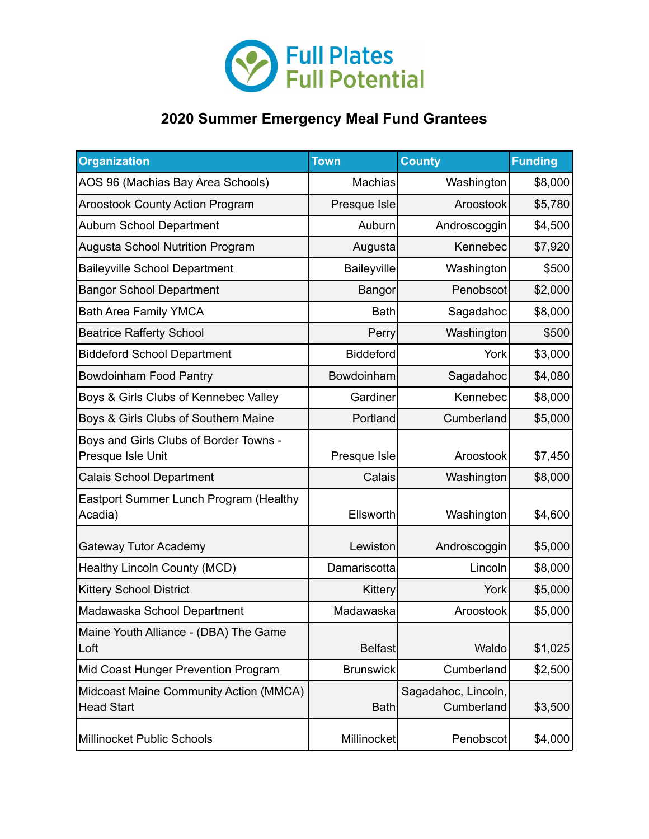

## **2020 Summer Emergency Meal Fund Grantees**

| <b>Organization</b>                                         | <b>Town</b>      | <b>County</b>                     | <b>Funding</b> |
|-------------------------------------------------------------|------------------|-----------------------------------|----------------|
| AOS 96 (Machias Bay Area Schools)                           | <b>Machias</b>   | Washington                        | \$8,000        |
| <b>Aroostook County Action Program</b>                      | Presque Isle     | Aroostook                         | \$5,780        |
| Auburn School Department                                    | Auburn           | Androscoggin                      | \$4,500        |
| <b>Augusta School Nutrition Program</b>                     | Augusta          | Kennebec                          | \$7,920        |
| <b>Baileyville School Department</b>                        | Baileyville      | Washington                        | \$500          |
| <b>Bangor School Department</b>                             | <b>Bangor</b>    | Penobscot                         | \$2,000        |
| <b>Bath Area Family YMCA</b>                                | <b>Bath</b>      | Sagadahoc                         | \$8,000        |
| <b>Beatrice Rafferty School</b>                             | Perry            | Washington                        | \$500          |
| <b>Biddeford School Department</b>                          | <b>Biddeford</b> | York                              | \$3,000        |
| Bowdoinham Food Pantry                                      | Bowdoinham       | Sagadahoc                         | \$4,080        |
| Boys & Girls Clubs of Kennebec Valley                       | Gardiner         | Kennebec                          | \$8,000        |
| Boys & Girls Clubs of Southern Maine                        | Portland         | Cumberland                        | \$5,000        |
| Boys and Girls Clubs of Border Towns -<br>Presque Isle Unit | Presque Isle     | Aroostook                         | \$7,450        |
| <b>Calais School Department</b>                             | Calais           | Washington                        | \$8,000        |
| Eastport Summer Lunch Program (Healthy<br>Acadia)           | Ellsworth        | Washington                        | \$4,600        |
| <b>Gateway Tutor Academy</b>                                | Lewiston         | Androscoggin                      | \$5,000        |
| Healthy Lincoln County (MCD)                                | Damariscotta     | Lincoln                           | \$8,000        |
| <b>Kittery School District</b>                              | Kittery          | York                              | \$5,000        |
| Madawaska School Department                                 | Madawaska        | Aroostook                         | \$5,000        |
| Maine Youth Alliance - (DBA) The Game<br>Loft               | <b>Belfast</b>   | Waldo                             | \$1,025        |
| Mid Coast Hunger Prevention Program                         | <b>Brunswick</b> | Cumberland                        | \$2,500        |
| Midcoast Maine Community Action (MMCA)<br><b>Head Start</b> | <b>Bath</b>      | Sagadahoc, Lincoln,<br>Cumberland | \$3,500        |
| Millinocket Public Schools                                  | Millinocket      | Penobscot                         | \$4,000        |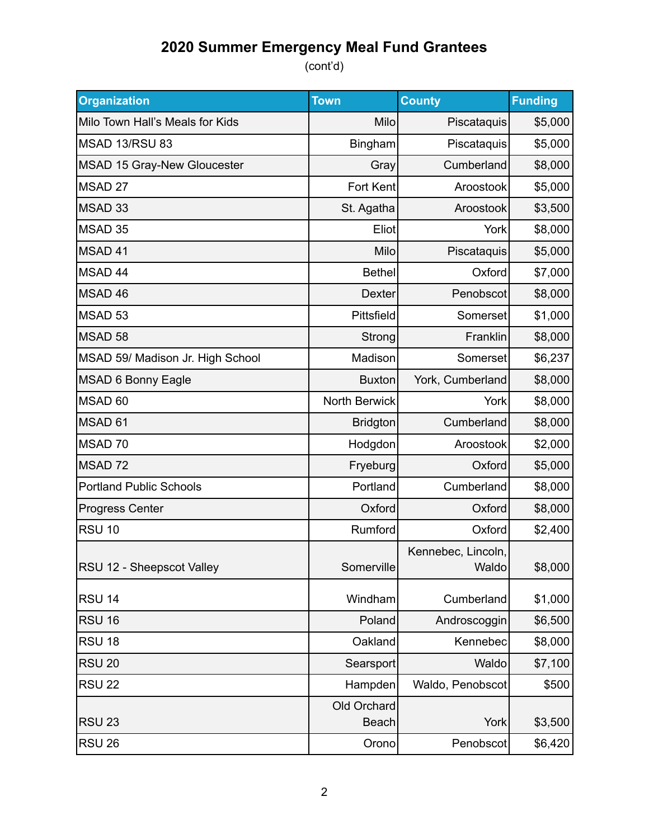## **2020 Summer Emergency Meal Fund Grantees**

(cont'd)

| <b>Organization</b>              | <b>Town</b>                 | <b>County</b>               | <b>Funding</b> |
|----------------------------------|-----------------------------|-----------------------------|----------------|
| Milo Town Hall's Meals for Kids  | Milo                        | Piscataquis                 | \$5,000        |
| <b>MSAD 13/RSU 83</b>            | Bingham                     | Piscataquis                 | \$5,000        |
| MSAD 15 Gray-New Gloucester      | Gray                        | Cumberland                  | \$8,000        |
| MSAD 27                          | Fort Kent                   | Aroostook                   | \$5,000        |
| MSAD 33                          | St. Agatha                  | Aroostook                   | \$3,500        |
| MSAD 35                          | Eliot                       | York                        | \$8,000        |
| MSAD 41                          | Milo                        | Piscataquis                 | \$5,000        |
| MSAD 44                          | <b>Bethel</b>               | Oxford                      | \$7,000        |
| MSAD 46                          | <b>Dexter</b>               | Penobscot                   | \$8,000        |
| MSAD 53                          | Pittsfield                  | Somerset                    | \$1,000        |
| MSAD 58                          | Strong                      | Franklin                    | \$8,000        |
| MSAD 59/ Madison Jr. High School | Madison                     | Somerset                    | \$6,237        |
| MSAD 6 Bonny Eagle               | <b>Buxton</b>               | York, Cumberland            | \$8,000        |
| MSAD 60                          | North Berwick               | York                        | \$8,000        |
| MSAD <sub>61</sub>               | <b>Bridgton</b>             | Cumberland                  | \$8,000        |
| MSAD 70                          | Hodgdon                     | Aroostook                   | \$2,000        |
| MSAD 72                          | Fryeburg                    | Oxford                      | \$5,000        |
| <b>Portland Public Schools</b>   | Portland                    | Cumberland                  | \$8,000        |
| <b>Progress Center</b>           | Oxford                      | Oxford                      | \$8,000        |
| <b>RSU 10</b>                    | Rumford                     | Oxford                      | \$2,400        |
| RSU 12 - Sheepscot Valley        | Somerville                  | Kennebec, Lincoln,<br>Waldo | \$8,000        |
| <b>RSU 14</b>                    | Windham                     | Cumberland                  | \$1,000        |
| <b>RSU 16</b>                    | Poland                      | Androscoggin                | \$6,500        |
| <b>RSU 18</b>                    | Oakland                     | Kennebec                    | \$8,000        |
| <b>RSU 20</b>                    | Searsport                   | Waldo                       | \$7,100        |
| <b>RSU 22</b>                    | Hampden                     | Waldo, Penobscot            | \$500          |
| <b>RSU 23</b>                    | Old Orchard<br><b>Beach</b> | York                        | \$3,500        |
| <b>RSU 26</b>                    | Orono                       | Penobscot                   | \$6,420        |